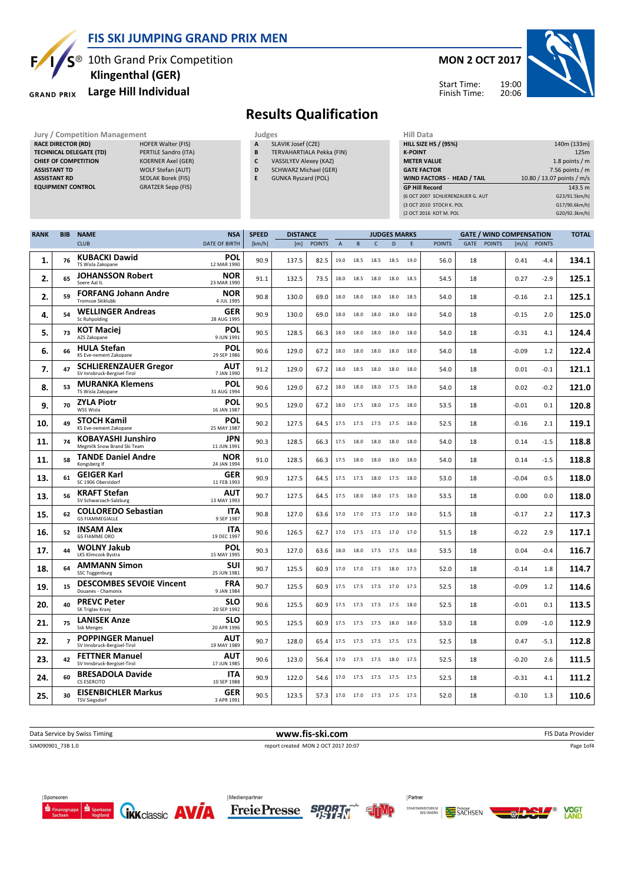

### FIS SKI JUMPING GRAND PRIX MEN

 $S^{\circledast}$  10th Grand Prix Competition

#### Large Hill Individual

#### **GRAND PRIX**

# Klingenthal (GER)

### MON 2 OCT 2017

Start Time: Finish Time:



## Results Qualification

- **SLAVIK Josef (CZE)** B TERVAHARTIALA Pekka (FIN)
- C VASSILYEV Alexey (KAZ)
- D SCHWARZ Michael (GER)
- E GUNKA Ryszard (POL)

| <b>Jury / Competition Management</b> |                           |   | Judges                       | Hill Data                         |                            |  |  |  |
|--------------------------------------|---------------------------|---|------------------------------|-----------------------------------|----------------------------|--|--|--|
| <b>RACE DIRECTOR (RD)</b>            | <b>HOFER Walter (FIS)</b> | A | SLAVIK Josef (CZE)           | <b>HILL SIZE HS / (95%)</b>       | 140m (133m)                |  |  |  |
| <b>TECHNICAL DELEGATE (TD)</b>       | PERTILE Sandro (ITA)      | B | TERVAHARTIALA Pekka (FIN)    | <b>K-POINT</b>                    | 125m                       |  |  |  |
| <b>CHIEF OF COMPETITION</b>          | <b>KOERNER Axel (GER)</b> | C | VASSILYEV Alexey (KAZ)       | <b>METER VALUE</b>                | 1.8 points $/m$            |  |  |  |
| <b>ASSISTANT TD</b>                  | WOLF Stefan (AUT)         | D | <b>SCHWARZ Michael (GER)</b> | <b>GATE FACTOR</b>                | 7.56 points $/m$           |  |  |  |
| <b>ASSISTANT RD</b>                  | SEDLAK Borek (FIS)        |   | <b>GUNKA Ryszard (POL)</b>   | WIND FACTORS - HEAD / TAIL        | 10.80 / 13.07 points / m/s |  |  |  |
| <b>EQUIPMENT CONTROL</b>             | <b>GRATZER Sepp (FIS)</b> |   |                              | <b>GP Hill Record</b>             | 143.5 m                    |  |  |  |
|                                      |                           |   |                              | (6 OCT 2007 SCHLIERENZAUER G. AUT | G23/91.5km/h)              |  |  |  |
|                                      |                           |   |                              | (3 OCT 2010 STOCH K, POL          | G17/90.6km/h)              |  |  |  |
|                                      |                           |   |                              | (2 OCT 2016 KOT M. POL            | G20/92.3km/h)              |  |  |  |

| <b>RANK</b> | <b>BIB</b>     | <b>NAME</b>                                                 | <b>NSA</b>                | <b>SPEED</b> | <b>DISTANCE</b> |               |                |      |              | <b>JUDGES MARKS</b>      |      |               |      |               | <b>GATE / WIND COMPENSATION</b> |               | <b>TOTAL</b> |
|-------------|----------------|-------------------------------------------------------------|---------------------------|--------------|-----------------|---------------|----------------|------|--------------|--------------------------|------|---------------|------|---------------|---------------------------------|---------------|--------------|
|             |                | <b>CLUB</b>                                                 | <b>DATE OF BIRTH</b>      | [km/h]       | [m]             | <b>POINTS</b> | $\overline{A}$ | B    | $\mathsf{C}$ | D                        | E    | <b>POINTS</b> | GATE | <b>POINTS</b> | [m/s]                           | <b>POINTS</b> |              |
| 1.          | 76             | <b>KUBACKI Dawid</b><br>TS Wisla Zakopane                   | <b>POL</b><br>12 MAR 1990 | 90.9         | 137.5           | 82.5          | 19.0           | 18.5 | 18.5         | 18.5                     | 19.0 | 56.0          | 18   |               | 0.41                            | -4.4          | 134.1        |
| 2.          | 65             | <b>JOHANSSON Robert</b><br>Soere Aal IL                     | <b>NOR</b><br>23 MAR 1990 | 91.1         | 132.5           | 73.5          | 18.0           | 18.5 | 18.0         | 18.0                     | 18.5 | 54.5          | 18   |               | 0.27                            | $-2.9$        | 125.1        |
| 2.          | 59             | <b>FORFANG Johann Andre</b><br>Tromsoe Skiklubb             | NOR<br>4 JUL 1995         | 90.8         | 130.0           | 69.0          | 18.0           | 18.0 | 18.0         | 18.0                     | 18.5 | 54.0          | 18   |               | $-0.16$                         | 2.1           | 125.1        |
| 4.          | 54             | <b>WELLINGER Andreas</b><br>Sc Ruhpolding                   | GER<br>28 AUG 1995        | 90.9         | 130.0           | 69.0          | 18.0           | 18.0 | 18.0         | 18.0                     | 18.0 | 54.0          | 18   |               | $-0.15$                         | 2.0           | 125.0        |
| 5.          | 73             | <b>KOT Maciej</b><br>AZS Zakopane                           | <b>POL</b><br>9 JUN 1991  | 90.5         | 128.5           | 66.3          | 18.0           | 18.0 | 18.0         | 18.0                     | 18.0 | 54.0          | 18   |               | $-0.31$                         | 4.1           | 124.4        |
| 6.          | 66             | <b>HULA Stefan</b><br>KS Eve-nement Zakopane                | POL<br>29 SEP 1986        | 90.6         | 129.0           | 67.2          | 18.0           | 18.0 | 18.0         | 18.0                     | 18.0 | 54.0          | 18   |               | $-0.09$                         | 1.2           | 122.4        |
| 7.          | 47             | <b>SCHLIERENZAUER Gregor</b><br>SV Innsbruck-Bergisel-Tirol | <b>AUT</b><br>7 JAN 1990  | 91.2         | 129.0           | 67.2          | 18.0           | 18.5 | 18.0         | 18.0                     | 18.0 | 54.0          | 18   |               | 0.01                            | $-0.1$        | 121.1        |
| 8.          | 53             | <b>MURANKA Klemens</b><br>TS Wisla Zakopane                 | POL<br>31 AUG 1994        | 90.6         | 129.0           | 67.2          | 18.0           | 18.0 | 18.0         | 17.5                     | 18.0 | 54.0          | 18   |               | 0.02                            | $-0.2$        | 121.0        |
| 9.          | 70             | <b>ZYLA Piotr</b><br>WSS Wisla                              | <b>POL</b><br>16 JAN 1987 | 90.5         | 129.0           | 67.2          | 18.0           | 17.5 |              | 18.0 17.5                | 18.0 | 53.5          | 18   |               | $-0.01$                         | 0.1           | 120.8        |
| 10.         | 49             | <b>STOCH Kamil</b><br>KS Eve-nement Zakopane                | POL<br>25 MAY 1987        | 90.2         | 127.5           | 64.5          | 17.5           | 17.5 | 17.5         | 17.5                     | 18.0 | 52.5          | 18   |               | -0.16                           | 2.1           | 119.1        |
| 11.         | 74             | <b>KOBAYASHI Junshiro</b><br>Megmilk Snow Brand Ski Team    | <b>JPN</b><br>11 JUN 1991 | 90.3         | 128.5           | 66.3          | 17.5           | 18.0 | 18.0 18.0    |                          | 18.0 | 54.0          | 18   |               | 0.14                            | $-1.5$        | 118.8        |
| 11.         | 58             | <b>TANDE Daniel Andre</b><br>Kongsberg If                   | <b>NOR</b><br>24 JAN 1994 | 91.0         | 128.5           | 66.3          | 17.5           | 18.0 | 18.0         | 18.0                     | 18.0 | 54.0          | 18   |               | 0.14                            | $-1.5$        | 118.8        |
| 13.         | 61             | <b>GEIGER Karl</b><br>SC 1906 Oberstdorf                    | GER<br>11 FEB 1993        | 90.9         | 127.5           | 64.5          | 17.5           | 17.5 | 18.0         | 17.5                     | 18.0 | 53.0          | 18   |               | $-0.04$                         | 0.5           | 118.0        |
| 13.         | 56             | <b>KRAFT Stefan</b><br>SV Schwarzach-Salzburg               | AUT<br>13 MAY 1993        | 90.7         | 127.5           | 64.5          | 17.5           | 18.0 | 18.0         | 17.5                     | 18.0 | 53.5          | 18   |               | 0.00                            | 0.0           | 118.0        |
| 15.         | 62             | <b>COLLOREDO Sebastian</b><br><b>GS FIAMMEGIALLE</b>        | <b>ITA</b><br>9 SEP 1987  | 90.8         | 127.0           | 63.6          | 17.0           | 17.0 | 17.5         | 17.0                     | 18.0 | 51.5          | 18   |               | $-0.17$                         | 2.2           | 117.3        |
| 16.         | 52             | <b>INSAM Alex</b><br><b>GS FIAMME ORO</b>                   | ITA<br>19 DEC 1997        | 90.6         | 126.5           | 62.7          | 17.0           | 17.5 | 17.5         | 17.0                     | 17.0 | 51.5          | 18   |               | $-0.22$                         | 2.9           | 117.1        |
| 17.         | 44             | <b>WOLNY Jakub</b><br>LKS Klimczok Bystra                   | <b>POL</b><br>15 MAY 1995 | 90.3         | 127.0           | 63.6          | 18.0           | 18.0 |              | 17.5 17.5                | 18.0 | 53.5          | 18   |               | 0.04                            | $-0.4$        | 116.7        |
| 18.         | 64             | <b>AMMANN Simon</b><br>SSC Toggenburg                       | <b>SUI</b><br>25 JUN 1981 | 90.7         | 125.5           | 60.9          | 17.0           | 17.0 | 17.5 18.0    |                          | 17.5 | 52.0          | 18   |               | $-0.14$                         | 1.8           | 114.7        |
| 19.         | 15             | <b>DESCOMBES SEVOIE Vincent</b><br>Douanes - Chamonix       | <b>FRA</b><br>9 JAN 1984  | 90.7         | 125.5           | 60.9          | 17.5           | 17.5 | 17.5 17.0    |                          | 17.5 | 52.5          | 18   |               | $-0.09$                         | 1.2           | 114.6        |
| 20.         | 40             | <b>PREVC Peter</b><br>SK Triglav Kranj                      | <b>SLO</b><br>20 SEP 1992 | 90.6         | 125.5           | 60.9          | 17.5           | 17.5 | 17.5         | 17.5                     | 18.0 | 52.5          | 18   |               | $-0.01$                         | 0.1           | 113.5        |
| 21.         | 75             | <b>LANISEK Anze</b><br><b>Ssk Menges</b>                    | <b>SLO</b><br>20 APR 1996 | 90.5         | 125.5           | 60.9          | 17.5           | 17.5 | 17.5         | 18.0                     | 18.0 | 53.0          | 18   |               | 0.09                            | $-1.0$        | 112.9        |
| 22.         | $\overline{7}$ | <b>POPPINGER Manuel</b><br>SV Innsbruck-Bergisel-Tirol      | AUT<br>19 MAY 1989        | 90.7         | 128.0           | 65.4          | 17.5           | 17.5 | 17.5         | 17.5                     | 17.5 | 52.5          | 18   |               | 0.47                            | $-5.1$        | 112.8        |
| 23.         | 42             | <b>FETTNER Manuel</b><br>SV Innsbruck-Bergisel-Tirol        | AUT<br>17 JUN 1985        | 90.6         | 123.0           | 56.4          | 17.0           | 17.5 | 17.5         | 18.0                     | 17.5 | 52.5          | 18   |               | $-0.20$                         | 2.6           | 111.5        |
| 24.         | 60             | <b>BRESADOLA Davide</b><br>CS ESERCITO                      | <b>ITA</b><br>10 SEP 1988 | 90.9         | 122.0           | 54.6          | 17.0           | 17.5 | 17.5         | 17.5                     | 17.5 | 52.5          | 18   |               | $-0.31$                         | 4.1           | 111.2        |
| 25.         | 30             | <b>EISENBICHLER Markus</b><br><b>TSV Siegsdorf</b>          | <b>GER</b><br>3 APR 1991  | 90.5         | 123.5           | 57.3          |                |      |              | 17.0 17.0 17.5 17.5 17.5 |      | 52.0          | 18   |               | $-0.10$                         | 1.3           | 110.6        |

Data Service by Swiss Timing **EXECUTE 19 The State Provider** www.fis-ski.com **FIS Data Provider** FIS Data Provider SJM090901\_73B 1.0 report created MON 2 OCT 2017 20:07 Page 1of4







Partner



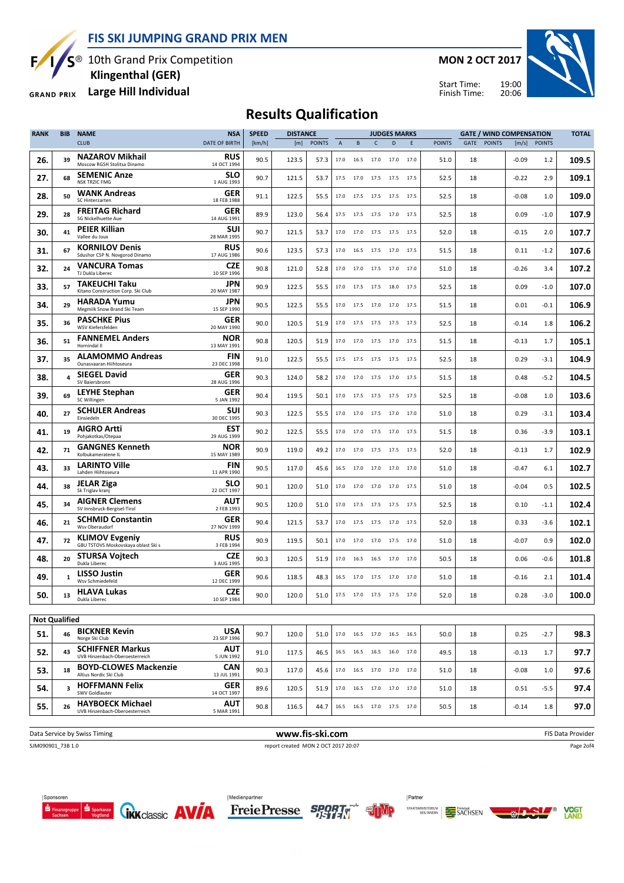FIS SKI JUMPING GRAND PRIX MEN

Б,

S<sup>®</sup> 10th Grand Prix Competition Klingenthal (GER)

Large Hill Individual **GRAND PRIX** 

MON 2 OCT 2017





# Results Qualification

| <b>RANK</b>          | <b>BIB</b> | <b>NAME</b>                                                  | <b>NSA</b>                | <b>SPEED</b> | <b>DISTANCE</b> |               |             |                |                | <b>JUDGES MARKS</b>          |      |               |      |               | <b>GATE / WIND COMPENSATION</b> |               | <b>TOTAL</b> |
|----------------------|------------|--------------------------------------------------------------|---------------------------|--------------|-----------------|---------------|-------------|----------------|----------------|------------------------------|------|---------------|------|---------------|---------------------------------|---------------|--------------|
|                      |            | <b>CLUB</b>                                                  | <b>DATE OF BIRTH</b>      | [km/h]       | [m]             | <b>POINTS</b> | $\mathsf A$ | B              | C              | $\mathsf{D}$                 | E    | <b>POINTS</b> | GATE | <b>POINTS</b> | [m/s]                           | <b>POINTS</b> |              |
| 26.                  | 39         | NAZAROV Mikhail<br>Moscow RGSH Stolitsa Dinamo               | RUS<br>14 OCT 1994        | 90.5         | 123.5           | 57.3          | 17.0        | 16.5           | 17.0           | 17.0                         | 17.0 | 51.0          | 18   |               | $-0.09$                         | 1.2           | 109.5        |
| 27.                  | 68         | <b>SEMENIC Anze</b><br><b>NSK TRZIC FMG</b>                  | SLO<br>1 AUG 1993         | 90.7         | 121.5           | 53.7          | 17.5        | 17.0           | 17.5           | 17.5                         | 17.5 | 52.5          | 18   |               | $-0.22$                         | 2.9           | 109.1        |
| 28.                  | 50         | <b>WANK Andreas</b><br>SC Hinterzarten                       | GER<br>18 FEB 1988        | 91.1         | 122.5           | 55.5          | 17.0        | 17.5           | 17.5           | 17.5                         | 17.5 | 52.5          | 18   |               | $-0.08$                         | 1.0           | 109.0        |
| 29.                  | 28         | <b>FREITAG Richard</b><br>SG Nickelhuette Aue                | <b>GER</b><br>14 AUG 1991 | 89.9         | 123.0           | 56.4          | 17.5        | 17.5           | 17.5           | 17.0                         | 17.5 | 52.5          | 18   |               | 0.09                            | $-1.0$        | 107.9        |
| 30.                  | 41         | PEIER Killian<br>Vallee du Joux                              | <b>SUI</b><br>28 MAR 1995 | 90.7         | 121.5           | 53.7          | 17.0        | 17.0           | 17.5           | 17.5                         | 17.5 | 52.0          | 18   |               | $-0.15$                         | 2.0           | 107.7        |
| 31.                  | 67         | <b>KORNILOV Denis</b><br>Sdushor CSP N. Novgorod Dinamo      | <b>RUS</b><br>17 AUG 1986 | 90.6         | 123.5           | 57.3          | 17.0        |                |                | 16.5 17.5 17.0 17.5          |      | 51.5          | 18   |               | 0.11                            | $-1.2$        | 107.6        |
| 32.                  | 24         | <b>VANCURA Tomas</b><br>TJ Dukla Liberec                     | <b>CZE</b><br>10 SEP 1996 | 90.8         | 121.0           | 52.8          | 17.0        | 17.0           | 17.5 17.0      |                              | 17.0 | 51.0          | 18   |               | $-0.26$                         | 3.4           | 107.2        |
| 33.                  | 57         | <b>TAKEUCHI Taku</b><br>Kitano Construction Corp. Ski Club   | JPN<br>20 MAY 1987        | 90.9         | 122.5           | 55.5          | 17.0        | 17.5           | 17.5 18.0      |                              | 17.5 | 52.5          | 18   |               | 0.09                            | $-1.0$        | 107.0        |
| 34.                  | 29         | <b>HARADA Yumu</b><br>Megmilk Snow Brand Ski Team            | JPN<br>15 SEP 1990        | 90.5         | 122.5           | 55.5          | 17.0        | 17.5           | 17.0           | 17.0                         | 17.5 | 51.5          | 18   |               | 0.01                            | $-0.1$        | 106.9        |
| 35.                  | 36         | <b>PASCHKE Pius</b><br>WSV Kiefersfelden                     | GER<br>20 MAY 1990        | 90.0         | 120.5           | 51.9          | 17.0        |                | 17.5 17.5 17.5 |                              | 17.5 | 52.5          | 18   |               | $-0.14$                         | 1.8           | 106.2        |
| 36.                  | 51         | <b>FANNEMEL Anders</b><br>Hornindal II                       | NOR<br>13 MAY 1991        | 90.8         | 120.5           | 51.9          | 17.0        | 17.0           | 17.5           | 17.0                         | 17.5 | 51.5          | 18   |               | $-0.13$                         | 1.7           | 105.1        |
| 37.                  | 35         | <b>ALAMOMMO Andreas</b><br>Ounasvaaran Hiihtoseura           | FIN<br>23 DEC 1998        | 91.0         | 122.5           | 55.5          | 17.5        | 17.5           | 17.5           | 17.5                         | 17.5 | 52.5          | 18   |               | 0.29                            | $-3.1$        | 104.9        |
| 38.                  | 4          | <b>SIEGEL David</b><br>SV Baiersbronn                        | <b>GER</b><br>28 AUG 1996 | 90.3         | 124.0           | 58.2          | 17.0        | 17.0           | 17.5           | 17.0                         | 17.5 | 51.5          | 18   |               | 0.48                            | $-5.2$        | 104.5        |
| 39.                  | 69         | <b>LEYHE Stephan</b><br>SC Willingen                         | GER<br>5 JAN 1992         | 90.4         | 119.5           | 50.1          | 17.0        |                | 17.5 17.5 17.5 |                              | 17.5 | 52.5          | 18   |               | $-0.08$                         | 1.0           | 103.6        |
| 40.                  | 27         | <b>SCHULER Andreas</b><br>Einsiedeln                         | SUI<br>30 DEC 1995        | 90.3         | 122.5           | 55.5          | 17.0        | 17.0           |                | 17.5 17.0 17.0               |      | 51.0          | 18   |               | 0.29                            | $-3.1$        | 103.4        |
| 41.                  | 19         | <b>AIGRO Artti</b><br>Pohjakotkas/Otepaa                     | <b>EST</b><br>29 AUG 1999 | 90.2         | 122.5           | 55.5          | 17.0        | 17.0           | 17.5 17.0      |                              | 17.5 | 51.5          | 18   |               | 0.36                            | $-3.9$        | 103.1        |
| 42.                  | 71         | <b>GANGNES Kenneth</b><br>Kolbukameratene IL                 | NOR<br>15 MAY 1989        | 90.9         | 119.0           | 49.2          | 17.0        | 17.0           | 17.5           | 17.5                         | 17.5 | 52.0          | 18   |               | $-0.13$                         | 1.7           | 102.9        |
| 43.                  | 33         | <b>LARINTO Ville</b><br>Lahden Hiihtoseura                   | <b>FIN</b><br>11 APR 1990 | 90.5         | 117.0           | 45.6          | 16.5        | 17.0           | 17.0           | 17.0                         | 17.0 | 51.0          | 18   |               | $-0.47$                         | 6.1           | 102.7        |
| 44.                  | 38         | <b>JELAR Ziga</b><br>Sk Triglav kranj                        | SLO<br>22 OCT 1997        | 90.1         | 120.0           | 51.0          | 17.0        | 17.0           | 17.0           | 17.0                         | 17.5 | 51.0          | 18   |               | $-0.04$                         | 0.5           | 102.5        |
| 45.                  | 34         | <b>AIGNER Clemens</b><br>SV Innsbruck-Bergisel-Tirol         | AUT<br>2 FEB 1993         | 90.5         | 120.0           | 51.0          | 17.0        | 17.5           | 17.5           | 17.5                         | 17.5 | 52.5          | 18   |               | 0.10                            | $-1.1$        | 102.4        |
| 46.                  | 21         | <b>SCHMID Constantin</b><br>Wsv Oberaudorf                   | <b>GER</b><br>27 NOV 1999 | 90.4         | 121.5           | 53.7          | 17.0        | 17.5           | 17.5           | 17.0                         | 17.5 | 52.0          | 18   |               | 0.33                            | $-3.6$        | 102.1        |
| 47.                  | 72         | <b>KLIMOV Evgeniy</b><br>GBU TSTOVS Moskovskaya oblast Ski s | <b>RUS</b><br>3 FEB 1994  | 90.9         | 119.5           | 50.1          | 17.0        | 17.0           | 17.0           | 17.5                         | 17.0 | 51.0          | 18   |               | $-0.07$                         | 0.9           | 102.0        |
| 48.                  | 20         | <b>STURSA Vojtech</b><br>Dukla Liberec                       | <b>CZE</b><br>3 AUG 1995  | 90.3         | 120.5           | 51.9          | 17.0        | 16.5           | 16.5           | 17.0                         | 17.0 | 50.5          | 18   |               | 0.06                            | $-0.6$        | 101.8        |
| 49.                  | 1          | <b>LISSO Justin</b><br>Wsv Schmiedefeld                      | GER<br>12 DEC 1999        | 90.6         | 118.5           | 48.3          | 16.5        | 17.0           | 17.5 17.0      |                              | 17.0 | 51.0          | 18   |               | $-0.16$                         | 2.1           | 101.4        |
| 50.                  | 13         | <b>HLAVA Lukas</b><br>Dukla Liberec                          | <b>CZE</b><br>10 SEP 1984 | 90.0         | 120.0           | 51.0          | 17.5        | 17.0 17.5 17.5 |                |                              | 17.0 | 52.0          | 18   |               | 0.28                            | $-3.0$        | 100.0        |
| <b>Not Qualified</b> |            |                                                              |                           |              |                 |               |             |                |                |                              |      |               |      |               |                                 |               |              |
| 51.                  | 46         | <b>BICKNER Kevin</b><br>Norge Ski Club                       | <b>USA</b><br>23 SEP 1996 | 90.7         | 120.0           | 51.0          |             |                |                | 17.0  16.5  17.0  16.5  16.5 |      | 50.0          | 18   |               | 0.25                            | $-2.7$        | 98.3         |
| 52.                  | 43         | <b>SCHIFFNER Markus</b><br>UVB Hinzenbach-Oberoesterreich    | <b>AUT</b><br>5 JUN 1992  | 91.0         | 117.5           | 46.5          |             |                |                | 16.5 16.5 16.5 16.0 17.0     |      | 49.5          | 18   |               | $-0.13$                         | 1.7           | 97.7         |
| 53.                  | 18         | <b>BOYD-CLOWES Mackenzie</b><br>Altius Nordic Ski Club       | <b>CAN</b><br>13 JUL 1991 | 90.3         | 117.0           | 45.6          | 17.0        |                |                | 16.5 17.0 17.0 17.0          |      | 51.0          | 18   |               | $-0.08$                         | 1.0           | 97.6         |
| 54.                  | 3          | <b>HOFFMANN Felix</b><br>SWV Goldlauter                      | GER<br>14 OCT 1997        | 89.6         | 120.5           | 51.9          | 17.0        |                |                | 16.5 17.0 17.0 17.0          |      | 51.0          | 18   |               | 0.51                            | $-5.5$        | 97.4         |
| 55.                  | 26         | <b>HAYBOECK Michael</b><br>UVB Hinzenbach-Oberoesterreich    | <b>AUT</b><br>5 MAR 1991  | 90.8         | 116.5           | 44.7          |             |                |                | 16.5 16.5 17.0 17.5 17.0     |      | 50.5          | 18   |               | $-0.14$                         | 1.8           | 97.0         |
|                      |            |                                                              |                           |              |                 |               |             |                |                |                              |      |               |      |               |                                 |               |              |

Data Service by Swiss Timing **EXECUTE CONCIDENT WWW.fis-ski.com** FIS Data Provider SJM090901\_73B 1.0 report created MON 2 OCT 2017 20:07

Page 2of4











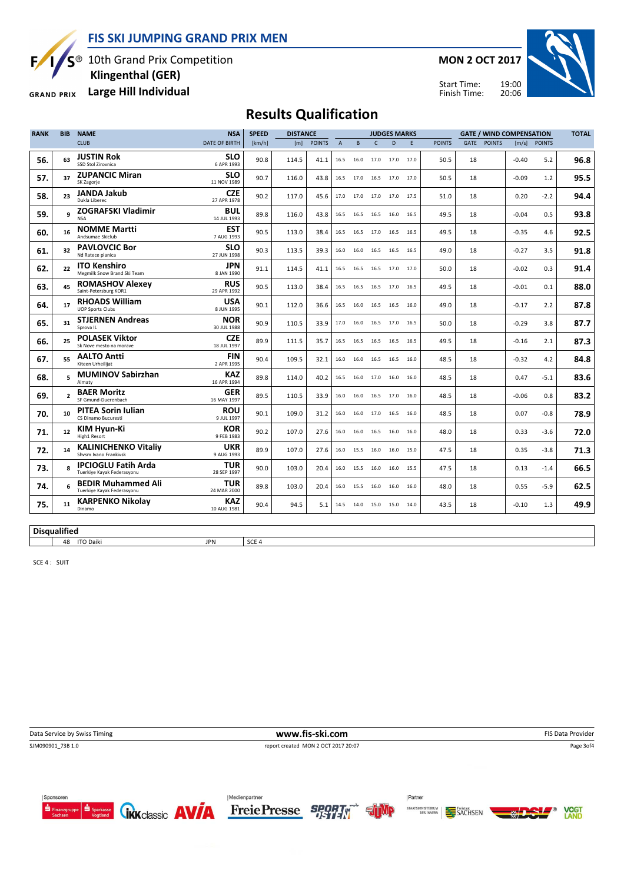FIS SKI JUMPING GRAND PRIX MEN

Б,

S<sup>®</sup> 10th Grand Prix Competition Klingenthal (GER)

Large Hill Individual **GRAND PRIX** 

MON 2 OCT 2017



Start Time: Finish Time:

# Results Qualification

| <b>RANK</b> | <b>BIB</b>               | <b>NAME</b>                                              | <b>NSA</b>                | <b>SPEED</b> | <b>DISTANCE</b><br><b>JUDGES MARKS</b><br><b>GATE / WIND COMPENSATION</b> |            |                |      |                |                |      | <b>TOTAL</b>  |      |               |         |              |      |
|-------------|--------------------------|----------------------------------------------------------|---------------------------|--------------|---------------------------------------------------------------------------|------------|----------------|------|----------------|----------------|------|---------------|------|---------------|---------|--------------|------|
|             |                          | <b>CLUB</b>                                              | DATE OF BIRTH             | [km/h]       |                                                                           | [m] POINTS | $\overline{A}$ | B    | $\mathsf{C}$   | D              | F.   | <b>POINTS</b> | GATE | <b>POINTS</b> |         | [m/s] POINTS |      |
| 56.         | 63                       | <b>JUSTIN Rok</b><br>SSD Stol Zirovnica                  | <b>SLO</b><br>6 APR 1993  | 90.8         | 114.5                                                                     | 41.1       | 16.5           | 16.0 | 17.0           | 17.0           | 17.0 | 50.5          | 18   |               | $-0.40$ | 5.2          | 96.8 |
| 57.         | 37                       | <b>ZUPANCIC Miran</b><br>SK Zagorje                      | <b>SLO</b><br>11 NOV 1989 | 90.7         | 116.0                                                                     | 43.8       | 16.5           | 17.0 |                | 16.5 17.0 17.0 |      | 50.5          | 18   |               | $-0.09$ | 1.2          | 95.5 |
| 58.         | 23                       | <b>JANDA Jakub</b><br>Dukla Liberec                      | <b>CZE</b><br>27 APR 1978 | 90.2         | 117.0                                                                     | 45.6       | 17.0           | 17.0 | 17.0 17.0      |                | 17.5 | 51.0          | 18   |               | 0.20    | $-2.2$       | 94.4 |
| 59.         | q                        | <b>ZOGRAFSKI Vladimir</b><br><b>NSA</b>                  | <b>BUL</b><br>14 JUL 1993 | 89.8         | 116.0                                                                     | 43.8       | 16.5           | 16.5 | 16.5 16.0      |                | 16.5 | 49.5          | 18   |               | $-0.04$ | 0.5          | 93.8 |
| 60.         | 16                       | <b>NOMME Martti</b><br>Andsumae Skiclub                  | <b>EST</b><br>7 AUG 1993  | 90.5         | 113.0                                                                     | 38.4       | 16.5           | 16.5 | 17.0           | 16.5           | 16.5 | 49.5          | 18   |               | $-0.35$ | 4.6          | 92.5 |
| 61.         | 32                       | <b>PAVLOVCIC Bor</b><br>Nd Ratece planica                | <b>SLO</b><br>27 JUN 1998 | 90.3         | 113.5                                                                     | 39.3       | 16.0           | 16.0 | 16.5           | 16.5           | 16.5 | 49.0          | 18   |               | $-0.27$ | 3.5          | 91.8 |
| 62.         | 22                       | <b>ITO Kenshiro</b><br>Megmilk Snow Brand Ski Team       | <b>JPN</b><br>8 JAN 1990  | 91.1         | 114.5                                                                     | 41.1       | 16.5           | 16.5 | 16.5 17.0      |                | 17.0 | 50.0          | 18   |               | $-0.02$ | 0.3          | 91.4 |
| 63.         | 45                       | <b>ROMASHOV Alexey</b><br>Saint-Petersburg KOR1          | <b>RUS</b><br>29 APR 1992 | 90.5         | 113.0                                                                     | 38.4       | 16.5           | 16.5 | 16.5 17.0      |                | 16.5 | 49.5          | 18   |               | $-0.01$ | 0.1          | 88.0 |
| 64.         | 17                       | <b>RHOADS William</b><br><b>UOP Sports Clubs</b>         | <b>USA</b><br>8 JUN 1995  | 90.1         | 112.0                                                                     | 36.6       | 16.5           | 16.0 | 16.5           | 16.5           | 16.0 | 49.0          | 18   |               | $-0.17$ | 2.2          | 87.8 |
| 65.         | 31                       | <b>STJERNEN Andreas</b><br>Sprova IL                     | <b>NOR</b><br>30 JUL 1988 | 90.9         | 110.5                                                                     | 33.9       | 17.0           | 16.0 | 16.5           | 17.0           | 16.5 | 50.0          | 18   |               | $-0.29$ | 3.8          | 87.7 |
| 66.         | 25                       | <b>POLASEK Viktor</b><br>Sk Nove mesto na morave         | <b>CZE</b><br>18 JUL 1997 | 89.9         | 111.5                                                                     | 35.7       | 16.5           | 16.5 | 16.5 16.5      |                | 16.5 | 49.5          | 18   |               | $-0.16$ | 2.1          | 87.3 |
| 67.         | 55                       | <b>AALTO Antti</b><br>Kiteen Urheilijat                  | <b>FIN</b><br>2 APR 1995  | 90.4         | 109.5                                                                     | 32.1       | 16.0           | 16.0 | 16.5 16.5      |                | 16.0 | 48.5          | 18   |               | $-0.32$ | 4.2          | 84.8 |
| 68.         | 5                        | <b>MUMINOV Sabirzhan</b><br>Almaty                       | <b>KAZ</b><br>16 APR 1994 | 89.8         | 114.0                                                                     | 40.2       | 16.5           | 16.0 | 17.0           | 16.0           | 16.0 | 48.5          | 18   |               | 0.47    | $-5.1$       | 83.6 |
| 69.         | $\overline{\phantom{a}}$ | <b>BAER Moritz</b><br>SF Gmund-Duerenbach                | <b>GER</b><br>16 MAY 1997 | 89.5         | 110.5                                                                     | 33.9       | 16.0           | 16.0 | 16.5 17.0      |                | 16.0 | 48.5          | 18   |               | $-0.06$ | 0.8          | 83.2 |
| 70.         | 10                       | <b>PITEA Sorin Iulian</b><br>CS Dinamo Bucuresti         | <b>ROU</b><br>9 JUL 1997  | 90.1         | 109.0                                                                     | 31.2       | 16.0           |      | 16.0 17.0 16.5 |                | 16.0 | 48.5          | 18   |               | 0.07    | $-0.8$       | 78.9 |
| 71.         | 12                       | KIM Hvun-Ki<br>High1 Resort                              | <b>KOR</b><br>9 FEB 1983  | 90.2         | 107.0                                                                     | 27.6       | 16.0           | 16.0 | 16.5 16.0      |                | 16.0 | 48.0          | 18   |               | 0.33    | $-3.6$       | 72.0 |
| 72.         | 14                       | <b>KALINICHENKO Vitaliy</b><br>Shysm Ivano Frankiysk     | <b>UKR</b><br>9 AUG 1993  | 89.9         | 107.0                                                                     | 27.6       | 16.0           | 15.5 | 16.0           | 16.0           | 15.0 | 47.5          | 18   |               | 0.35    | $-3.8$       | 71.3 |
| 73.         | R                        | <b>IPCIOGLU Fatih Arda</b><br>Tuerkiye Kayak Federasyonu | <b>TUR</b><br>28 SEP 1997 | 90.0         | 103.0                                                                     | 20.4       | 16.0           | 15.5 | 16.0           | 16.0           | 15.5 | 47.5          | 18   |               | 0.13    | $-1.4$       | 66.5 |
| 74.         | 6                        | <b>BEDIR Muhammed Ali</b><br>Tuerkiye Kayak Federasyonu  | <b>TUR</b><br>24 MAR 2000 | 89.8         | 103.0                                                                     | 20.4       | 16.0           | 15.5 | 16.0           | 16.0           | 16.0 | 48.0          | 18   |               | 0.55    | $-5.9$       | 62.5 |
| 75.         | 11                       | <b>KARPENKO Nikolay</b><br>Dinamo                        | <b>KAZ</b><br>10 AUG 1981 | 90.4         | 94.5                                                                      | 5.1        | 14.5           | 14.0 | 15.0 15.0      |                | 14.0 | 43.5          | 18   |               | $-0.10$ | 1.3          | 49.9 |

**Disqualified** 

48 ITO Daiki JPN SCE 4

SCE 4 : SUIT

Data Service by Swiss Timing **EXECUTE CONCIDENT WWW.fis-ski.com** FIS Data Provider SJM090901\_73B 1.0 report created MON 2 OCT 2017 20:07

Page 3of4







STAATSMINISTERIUM DES INNERN SACHSEN

Partner